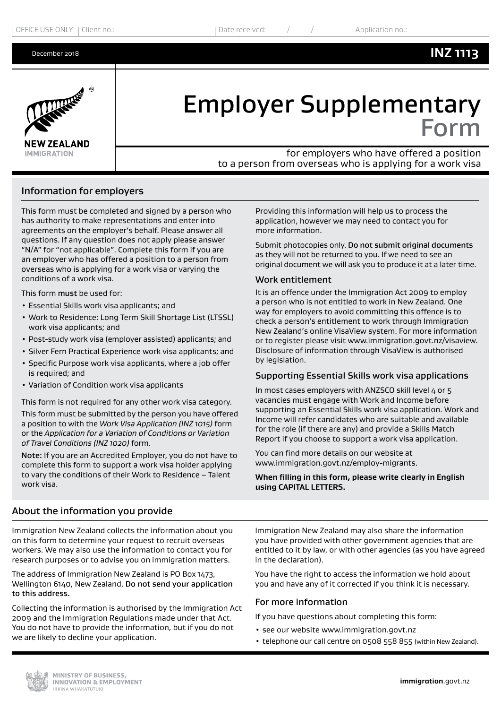# **INZ 1113**



# Employer Supplementary Form

for employers who have offered a position to a person from overseas who is applying for a work visa

### Information for employers

This form must be completed and signed by a person who has authority to make representations and enter into agreements on the employer's behalf. Please answer all questions. If any question does not apply please answer "N/A" for "not applicable". Complete this form if you are an employer who has offered a position to a person from overseas who is applying for a work visa or varying the conditions of a work visa.

This form must be used for:

- Essential Skills work visa applicants; and
- Work to Residence: Long Term Skill Shortage List (LTSSL) work visa applicants; and
- Post-study work visa (employer assisted) applicants; and
- Silver Fern Practical Experience work visa applicants; and
- Specific Purpose work visa applicants, where a job offer is required; and
- Variation of Condition work visa applicants

This form is not required for any other work visa category. This form must be submitted by the person you have offered a position to with the *Work Visa Application (INZ 1015)* form or the *Application for a Variation of Conditions or Variation of Travel Conditions (INZ 1020)* form.

Note: If you are an Accredited Employer, you do not have to complete this form to support a work visa holder applying to vary the conditions of their Work to Residence – Talent work visa.

Providing this information will help us to process the application, however we may need to contact you for more information.

Submit photocopies only. Do not submit original documents as they will not be returned to you. If we need to see an original document we will ask you to produce it at a later time.

#### Work entitlement

It is an offence under the Immigration Act 2009 to employ a person who is not entitled to work in New Zealand. One way for employers to avoid committing this offence is to check a person's entitlement to work through Immigration New Zealand's online VisaView system. For more information or to register please visit www.immigration.govt.nz/visaview. Disclosure of information through VisaView is authorised by legislation.

#### Supporting Essential Skills work visa applications

In most cases employers with ANZSCO skill level 4 or 5 vacancies must engage with Work and Income before supporting an Essential Skills work visa application. Work and Income will refer candidates who are suitable and available for the role (if there are any) and provide a Skills Match Report if you choose to support a work visa application.

You can find more details on our website at www.immigration.govt.nz/employ-migrants.

**When filling in this form, please write clearly in English using CAPITAL LETTERS.**

#### About the information you provide

Immigration New Zealand collects the information about you on this form to determine your request to recruit overseas workers. We may also use the information to contact you for research purposes or to advise you on immigration matters.

The address of Immigration New Zealand is PO Box 1473, Wellington 6140, New Zealand. Do not send your application to this address.

Collecting the information is authorised by the Immigration Act 2009 and the Immigration Regulations made under that Act. You do not have to provide the information, but if you do not we are likely to decline your application.

Immigration New Zealand may also share the information you have provided with other government agencies that are entitled to it by law, or with other agencies (as you have agreed in the declaration).

You have the right to access the information we hold about you and have any of it corrected if you think it is necessary.

#### For more information

If you have questions about completing this form:

- see our website www.immigration.govt.nz
- telephone our call centre on 0508 558 855 (within New Zealand).

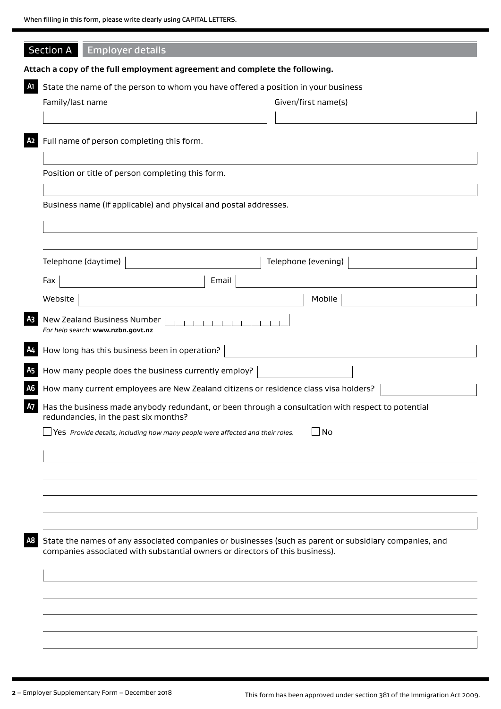|                | Section A<br><b>Employer details</b>                                                                                                                                                   |  |  |  |  |  |
|----------------|----------------------------------------------------------------------------------------------------------------------------------------------------------------------------------------|--|--|--|--|--|
|                | Attach a copy of the full employment agreement and complete the following.                                                                                                             |  |  |  |  |  |
| A1             | State the name of the person to whom you have offered a position in your business                                                                                                      |  |  |  |  |  |
|                | Family/last name<br>Given/first name(s)                                                                                                                                                |  |  |  |  |  |
|                |                                                                                                                                                                                        |  |  |  |  |  |
| A <sub>2</sub> | Full name of person completing this form.                                                                                                                                              |  |  |  |  |  |
|                | Position or title of person completing this form.                                                                                                                                      |  |  |  |  |  |
|                | Business name (if applicable) and physical and postal addresses.                                                                                                                       |  |  |  |  |  |
|                |                                                                                                                                                                                        |  |  |  |  |  |
|                | Telephone (daytime)<br>Telephone (evening)                                                                                                                                             |  |  |  |  |  |
|                | Email<br>Fax                                                                                                                                                                           |  |  |  |  |  |
|                | Mobile<br>Website                                                                                                                                                                      |  |  |  |  |  |
| A3             | New Zealand Business Number<br>For help search: www.nzbn.govt.nz                                                                                                                       |  |  |  |  |  |
| A4             | How long has this business been in operation?                                                                                                                                          |  |  |  |  |  |
| A <sub>5</sub> | How many people does the business currently employ?                                                                                                                                    |  |  |  |  |  |
| A <sub>6</sub> | How many current employees are New Zealand citizens or residence class visa holders?                                                                                                   |  |  |  |  |  |
| <b>A7</b>      | Has the business made anybody redundant, or been through a consultation with respect to potential<br>redundancies, in the past six months?                                             |  |  |  |  |  |
|                | $\Box$ Yes Provide details, including how many people were affected and their roles.<br>No                                                                                             |  |  |  |  |  |
|                |                                                                                                                                                                                        |  |  |  |  |  |
|                |                                                                                                                                                                                        |  |  |  |  |  |
|                |                                                                                                                                                                                        |  |  |  |  |  |
|                |                                                                                                                                                                                        |  |  |  |  |  |
| A8             |                                                                                                                                                                                        |  |  |  |  |  |
|                | State the names of any associated companies or businesses (such as parent or subsidiary companies, and<br>companies associated with substantial owners or directors of this business). |  |  |  |  |  |
|                |                                                                                                                                                                                        |  |  |  |  |  |
|                |                                                                                                                                                                                        |  |  |  |  |  |
|                |                                                                                                                                                                                        |  |  |  |  |  |
|                |                                                                                                                                                                                        |  |  |  |  |  |
|                |                                                                                                                                                                                        |  |  |  |  |  |
|                |                                                                                                                                                                                        |  |  |  |  |  |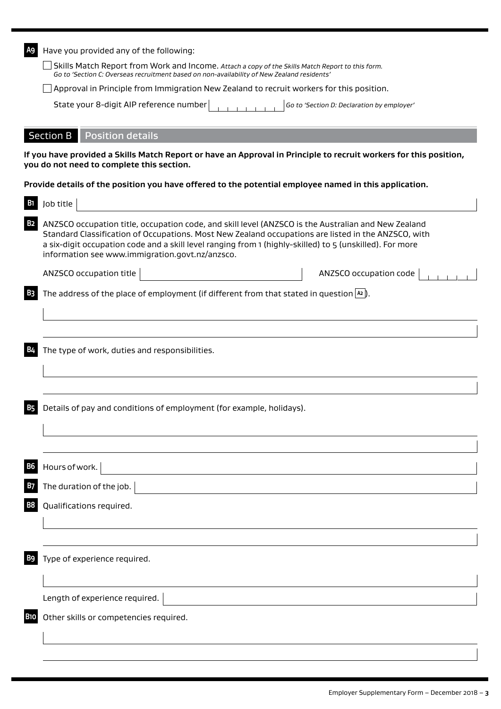| Have you provided any of the following:<br>A9 |                                                                                                                                                                                                                                                                                                                                                                           |  |  |  |  |  |
|-----------------------------------------------|---------------------------------------------------------------------------------------------------------------------------------------------------------------------------------------------------------------------------------------------------------------------------------------------------------------------------------------------------------------------------|--|--|--|--|--|
|                                               | Skills Match Report from Work and Income. Attach a copy of the Skills Match Report to this form.<br>Go to 'Section C: Overseas recruitment based on non-availability of New Zealand residents'                                                                                                                                                                            |  |  |  |  |  |
|                                               | Approval in Principle from Immigration New Zealand to recruit workers for this position.                                                                                                                                                                                                                                                                                  |  |  |  |  |  |
|                                               | State your 8-digit AIP reference number<br>Go to 'Section D: Declaration by employer'                                                                                                                                                                                                                                                                                     |  |  |  |  |  |
|                                               | <b>Section B</b><br><b>Position details</b>                                                                                                                                                                                                                                                                                                                               |  |  |  |  |  |
|                                               | If you have provided a Skills Match Report or have an Approval in Principle to recruit workers for this position,<br>you do not need to complete this section.                                                                                                                                                                                                            |  |  |  |  |  |
|                                               | Provide details of the position you have offered to the potential employee named in this application.                                                                                                                                                                                                                                                                     |  |  |  |  |  |
|                                               | Job title                                                                                                                                                                                                                                                                                                                                                                 |  |  |  |  |  |
| <b>B2</b>                                     | ANZSCO occupation title, occupation code, and skill level (ANZSCO is the Australian and New Zealand<br>Standard Classification of Occupations. Most New Zealand occupations are listed in the ANZSCO, with<br>a six-digit occupation code and a skill level ranging from 1 (highly-skilled) to 5 (unskilled). For more<br>information see www.immigration.govt.nz/anzsco. |  |  |  |  |  |
|                                               | ANZSCO occupation title<br>ANZSCO occupation code                                                                                                                                                                                                                                                                                                                         |  |  |  |  |  |
|                                               | The address of the place of employment (if different from that stated in question $ a $ ).                                                                                                                                                                                                                                                                                |  |  |  |  |  |
|                                               |                                                                                                                                                                                                                                                                                                                                                                           |  |  |  |  |  |
|                                               | The type of work, duties and responsibilities.                                                                                                                                                                                                                                                                                                                            |  |  |  |  |  |
|                                               |                                                                                                                                                                                                                                                                                                                                                                           |  |  |  |  |  |
|                                               | Details of pay and conditions of employment (for example, holidays).                                                                                                                                                                                                                                                                                                      |  |  |  |  |  |
|                                               |                                                                                                                                                                                                                                                                                                                                                                           |  |  |  |  |  |
|                                               | Hours of work.                                                                                                                                                                                                                                                                                                                                                            |  |  |  |  |  |
|                                               | The duration of the job.                                                                                                                                                                                                                                                                                                                                                  |  |  |  |  |  |
|                                               | Qualifications required.                                                                                                                                                                                                                                                                                                                                                  |  |  |  |  |  |
|                                               |                                                                                                                                                                                                                                                                                                                                                                           |  |  |  |  |  |
|                                               | Type of experience required.                                                                                                                                                                                                                                                                                                                                              |  |  |  |  |  |
|                                               | Length of experience required.                                                                                                                                                                                                                                                                                                                                            |  |  |  |  |  |
| <b>B10</b>                                    | Other skills or competencies required.                                                                                                                                                                                                                                                                                                                                    |  |  |  |  |  |
|                                               |                                                                                                                                                                                                                                                                                                                                                                           |  |  |  |  |  |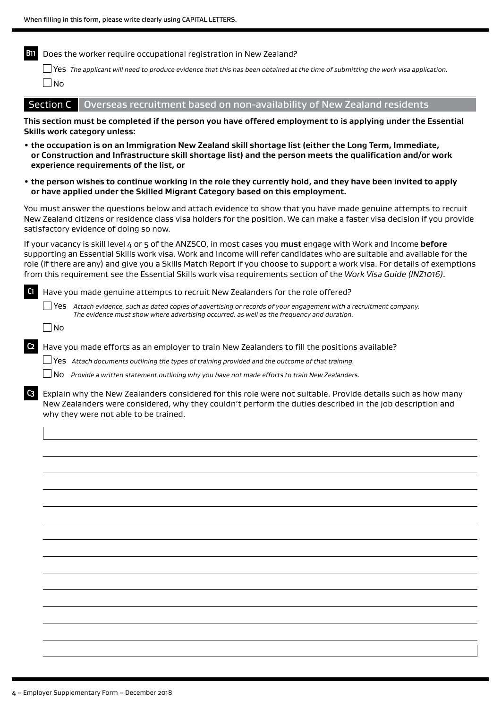**B11** Does the worker require occupational registration in New Zealand?

Yes *The applicant will need to produce evidence that this has been obtained at the time of submitting the work visa application.*  $\Box$ No

Section  $C$  Overseas recruitment based on non-availability of New Zealand residents

**This section must be completed if the person you have offered employment to is applying under the Essential Skills work category unless:**

- **• the occupation is on an Immigration New Zealand skill shortage list (either the Long Term, Immediate, or Construction and Infrastructure skill shortage list) and the person meets the qualification and/or work experience requirements of the list, or**
- **• the person wishes to continue working in the role they currently hold, and they have been invited to apply or have applied under the Skilled Migrant Category based on this employment.**

You must answer the questions below and attach evidence to show that you have made genuine attempts to recruit New Zealand citizens or residence class visa holders for the position. We can make a faster visa decision if you provide satisfactory evidence of doing so now.

If your vacancy is skill level 4 or 5 of the ANZSCO, in most cases you **must** engage with Work and Income **before** supporting an Essential Skills work visa. Work and Income will refer candidates who are suitable and available for the role (if there are any) and give you a Skills Match Report if you choose to support a work visa. For details of exemptions from this requirement see the Essential Skills work visa requirements section of the *Work Visa Guide (INZ1016)*.

**C1** Have you made genuine attempts to recruit New Zealanders for the role offered? Yes *Attach evidence, such as dated copies of advertising or records of your engagement with a recruitment company. The evidence must show where advertising occurred, as well as the frequency and duration.*  $\Box$ No

**C2** Have you made efforts as an employer to train New Zealanders to fill the positions available?

Yes *Attach documents outlining the types of training provided and the outcome of that training.*

No *Provide a written statement outlining why you have not made efforts to train New Zealanders.*

**C3** Explain why the New Zealanders considered for this role were not suitable. Provide details such as how many New Zealanders were considered, why they couldn't perform the duties described in the job description and why they were not able to be trained.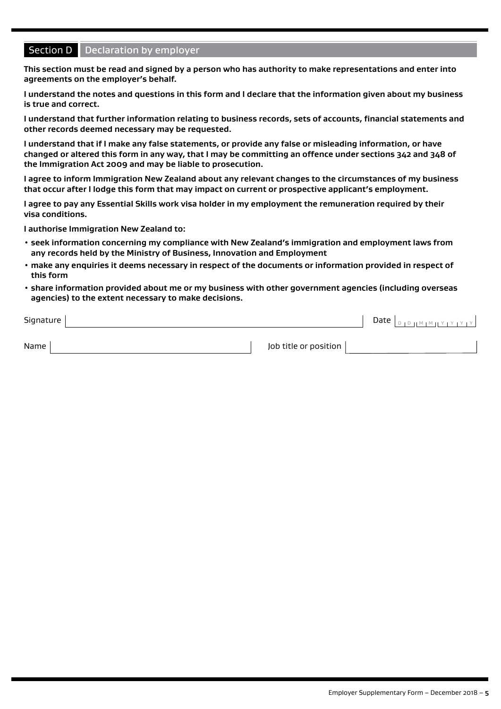## **Section D** Declaration by employer

**This section must be read and signed by a person who has authority to make representations and enter into agreements on the employer's behalf.**

**I understand the notes and questions in this form and I declare that the information given about my business is true and correct.**

**I understand that further information relating to business records, sets of accounts, financial statements and other records deemed necessary may be requested.**

**I understand that if I make any false statements, or provide any false or misleading information, or have changed or altered this form in any way, that I may be committing an offence under sections 342 and 348 of the Immigration Act 2009 and may be liable to prosecution.**

**I agree to inform Immigration New Zealand about any relevant changes to the circumstances of my business that occur after I lodge this form that may impact on current or prospective applicant's employment.**

**I agree to pay any Essential Skills work visa holder in my employment the remuneration required by their visa conditions.**

**I authorise Immigration New Zealand to:**

- **seek information concerning my compliance with New Zealand's immigration and employment laws from any records held by the Ministry of Business, Innovation and Employment**
- **make any enquiries it deems necessary in respect of the documents or information provided in respect of this form**
- **share information provided about me or my business with other government agencies (including overseas agencies) to the extent necessary to make decisions.**

| Signature |                       | Date | ן צן צן צן צוו ™ן ™ןן פן פן |
|-----------|-----------------------|------|-----------------------------|
| Name      | Job title or position |      |                             |